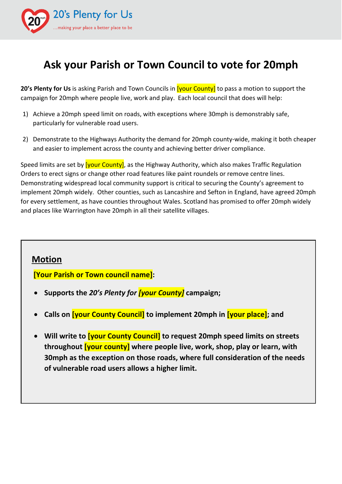

# **Ask your Parish or Town Council to vote for 20mph**

**20's Plenty for Us** is asking Parish and Town Councils in [your County] to pass a motion to support the campaign for 20mph where people live, work and play. Each local council that does will help:

- 1) Achieve a 20mph speed limit on roads, with exceptions where 30mph is demonstrably safe, particularly for vulnerable road users.
- 2) Demonstrate to the Highways Authority the demand for 20mph county-wide, making it both cheaper and easier to implement across the county and achieving better driver compliance.

Speed limits are set by [your County], as the Highway Authority, which also makes Traffic Regulation Orders to erect signs or change other road features like paint roundels or remove centre lines. Demonstrating widespread local community support is critical to securing the County's agreement to implement 20mph widely. Other counties, such as Lancashire and Sefton in England, have agreed 20mph for every settlement, as have counties throughout Wales. Scotland has promised to offer 20mph widely and places like Warrington have 20mph in all their satellite villages.

## **Motion**

**[Your Parish or Town council name]:**

- **Supports the** *20's Plenty for [your County]* **campaign;**
- **Calls on [your County Council] to implement 20mph in [your place]; and**
- **Will write to [your County Council] to request 20mph speed limits on streets throughout [your county] where people live, work, shop, play or learn, with 30mph as the exception on those roads, where full consideration of the needs of vulnerable road users allows a higher limit.**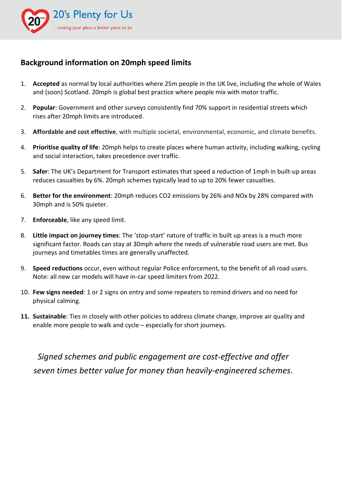

## **Background information on 20mph speed limits**

- 1. **Accepted** as normal by local authorities where 25m people in the UK live, including the whole of Wales and (soon) Scotland. 20mph is global best practice where people mix with motor traffic.
- 2. **Popular**: Government and other surveys consistently find 70% support in residential streets which rises after 20mph limits are introduced.
- 3. **Affordable and cost effective**, with multiple societal, environmental, economic, and climate benefits.
- 4. **Prioritise quality of life**: 20mph helps to create places where human activity, including walking, cycling and social interaction, takes precedence over traffic.
- 5. **Safer**: The UK's Department for Transport estimates that speed a reduction of 1mph in built-up areas reduces casualties by 6%. 20mph schemes typically lead to up to 20% fewer casualties.
- 6. **Better for the environment**: 20mph reduces CO2 emissions by 26% and NOx by 28% compared with 30mph and is 50% quieter.
- 7. **Enforceable**, like any speed limit.
- 8. **Little impact on journey times**: The 'stop-start' nature of traffic in built up areas is a much more significant factor. Roads can stay at 30mph where the needs of vulnerable road users are met. Bus journeys and timetables times are generally unaffected.
- 9. **Speed reductions** occur, even without regular Police enforcement, to the benefit of all road users. Note: all new car models will have in-car speed limiters from 2022.
- 10. **Few signs needed**: 1 or 2 signs on entry and some repeaters to remind drivers and no need for physical calming.
- **11. Sustainable**: Ties in closely with other policies to address climate change, improve air quality and enable more people to walk and cycle – especially for short journeys.

*Signed schemes and public engagement are cost-effective and offer seven times better value for money than heavily-engineered schemes*.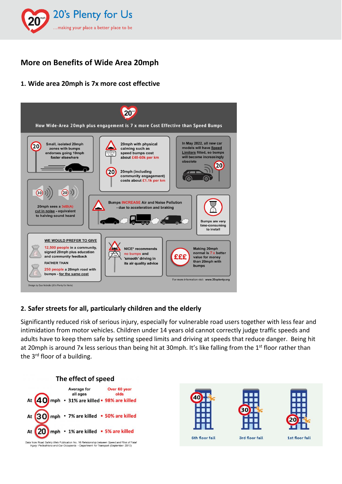

# **More on Benefits of Wide Area 20mph**

### **1. Wide area 20mph is 7x more cost effective**



#### **2. Safer streets for all, particularly children and the elderly**

Significantly reduced risk of serious injury, especially for vulnerable road users together with less fear and intimidation from motor vehicles. Children under 14 years old cannot correctly judge traffic speeds and adults have to keep them safe by setting speed limits and driving at speeds that reduce danger. Being hit at 20mph is around 7x less serious than being hit at 30mph. It's like falling from the 1<sup>st</sup> floor rather than the 3<sup>rd</sup> floor of a building.









6th floor fall

3rd floor fall

1st floor fall

Data from Road Safety Web Publication No. 16 Relationship between Speed and Risk of Fatal Injury: Pedestrians and Car Occupants - Department for Transport (September 2010)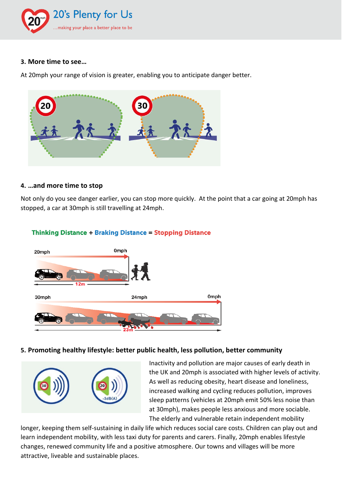

#### **3. More time to see…**

At 20mph your range of vision is greater, enabling you to anticipate danger better.



#### **4. …and more time to stop**

Not only do you see danger earlier, you can stop more quickly. At the point that a car going at 20mph has stopped, a car at 30mph is still travelling at 24mph.



#### **Thinking Distance + Braking Distance = Stopping Distance**

#### **5. Promoting healthy lifestyle: better public health, less pollution, better community**



Inactivity and pollution are major causes of early death in the UK and 20mph is associated with higher levels of activity. As well as reducing obesity, heart disease and loneliness, increased walking and cycling reduces pollution, improves sleep patterns (vehicles at 20mph emit 50% less noise than at 30mph), makes people less anxious and more sociable. The elderly and vulnerable retain independent mobility

longer, keeping them self-sustaining in daily life which reduces social care costs. Children can play out and learn independent mobility, with less taxi duty for parents and carers. Finally, 20mph enables lifestyle changes, renewed community life and a positive atmosphere. Our towns and villages will be more attractive, liveable and sustainable places.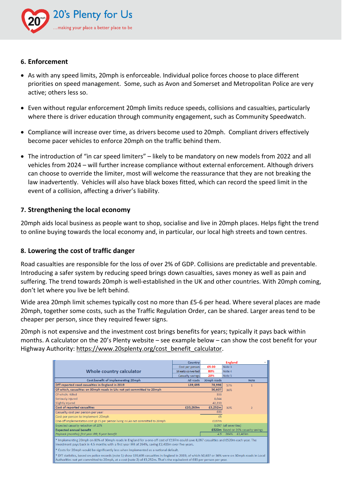

#### **6. Enforcement**

- As with any speed limits, 20mph is enforceable. Individual police forces choose to place different priorities on speed management. Some, such as Avon and Somerset and Metropolitan Police are very active; others less so.
- Even without regular enforcement 20mph limits reduce speeds, collisions and casualties, particularly where there is driver education through community engagement, such as Community Speedwatch.
- Compliance will increase over time, as drivers become used to 20mph. Compliant drivers effectively become pacer vehicles to enforce 20mph on the traffic behind them.
- The introduction of "in car speed limiters" likely to be mandatory on new models from 2022 and all vehicles from 2024 – will further increase compliance without external enforcement. Although drivers can choose to override the limiter, most will welcome the reassurance that they are not breaking the law inadvertently. Vehicles will also have black boxes fitted, which can record the speed limit in the event of a collision, affecting a driver's liability.

#### **7. Strengthening the local economy**

20mph aids local business as people want to shop, socialise and live in 20mph places. Helps fight the trend to online buying towards the local economy and, in particular, our local high streets and town centres.

#### **8. Lowering the cost of traffic danger**

Road casualties are responsible for the loss of over 2% of GDP. Collisions are predictable and preventable. Introducing a safer system by reducing speed brings down casualties, saves money as well as pain and suffering. The trend towards 20mph is well-established in the UK and other countries. With 20mph coming, don't let where you live be left behind.

Wide area 20mph limit schemes typically cost no more than £5-6 per head. Where several places are made 20mph, together some costs, such as the Traffic Regulation Order, can be shared. Larger areas tend to be cheaper per person, since they required fewer signs.

20mph is not expensive and the investment cost brings benefits for years; typically it pays back within months. A calculator on the 20's Plenty website – see example below – can show the cost benefit for your Highway Authority: [https://www.20splenty.org/cost\\_benefit\\_calculator.](https://www.20splenty.org/cost_benefit_calculator)

|                                                                                                                                                                                                                                                                                  | Country           |             | <b>England</b>                      |  |  |
|----------------------------------------------------------------------------------------------------------------------------------------------------------------------------------------------------------------------------------------------------------------------------------|-------------------|-------------|-------------------------------------|--|--|
|                                                                                                                                                                                                                                                                                  | Cost per person   | £5.00       | Note 3                              |  |  |
| Whole country calculator                                                                                                                                                                                                                                                         | Streets converted | 80%         | Note 4                              |  |  |
|                                                                                                                                                                                                                                                                                  | Casualty savings  | 20%         | Note 5                              |  |  |
| Cost:benefit of implementing 20mph                                                                                                                                                                                                                                               | All roads         | 30mph roads | <b>Note</b>                         |  |  |
| DfT reported road casualties in England in 2019                                                                                                                                                                                                                                  | 139,695           | 78,998      | 57%                                 |  |  |
| Of which, casualties on 30mph roads in LAs not yet committed to 20mph                                                                                                                                                                                                            |                   | 50,607      | 36%                                 |  |  |
| Of which: Killed                                                                                                                                                                                                                                                                 |                   | 333         |                                     |  |  |
| Seriously injured                                                                                                                                                                                                                                                                |                   | 8.044       |                                     |  |  |
| Slightly injured                                                                                                                                                                                                                                                                 |                   | 42,230      |                                     |  |  |
| Cost of reported casualties                                                                                                                                                                                                                                                      | £10,260m          | £3,252m     | 32%<br>$\overline{2}$               |  |  |
| Casualty cost per person per year                                                                                                                                                                                                                                                |                   | £83         |                                     |  |  |
| Cost per person to implement 20mph                                                                                                                                                                                                                                               |                   | £5          |                                     |  |  |
| One-off implementation cost @ £5 per person living in LAs not committed to 20mph                                                                                                                                                                                                 |                   | £197m       |                                     |  |  |
| Expected casualty reduction of 20%                                                                                                                                                                                                                                               |                   |             | 8,097 (all severities)              |  |  |
| <b>Expected annual benefit</b>                                                                                                                                                                                                                                                   |                   |             | £520m Based on 20% casualty savings |  |  |
| Payback (months); first year IRR; 5 year benefit                                                                                                                                                                                                                                 |                   |             | 4.5 264% £2.403m                    |  |  |
| * Implementing 20mph on 80% of 30mph roads in England for a one-off cost of £197m could save 8,097 casualties and £520m each year. The<br>investment pays back in 4.5 months with a first year IRR of 264%, saving £2,403m over five years.                                      |                   |             |                                     |  |  |
| $\ast$ Costs for 20mph would be significantly less when implemented as a national default.                                                                                                                                                                                       |                   |             |                                     |  |  |
| > 1 bfT statistics, based on police records (note 1) show 139,695 casualties in England in 2019, of which 50,607 or 36% were on 30mph roads in Local<br>Authorities not yet committed to 20mph, at a cost (note 2) of £3,252m. That's the equivalent of £83 per person per year. |                   |             |                                     |  |  |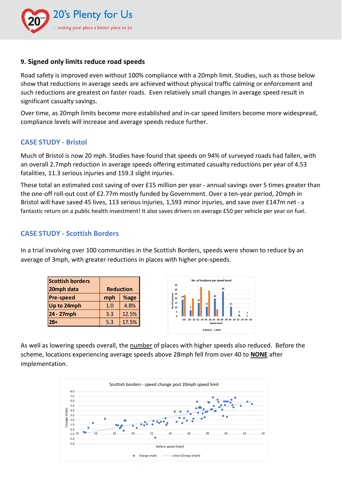

#### **9. Signed only limits reduce road speeds**

Road safety is improved even without 100% compliance with a 20mph limit. Studies, such as those below show that reductions in average seeds are achieved without physical traffic calming or enforcement and such reductions are greatest on faster roads. Even relatively small changes in average speed result in significant casualty savings.

Over time, as 20mph limits become more established and in-car speed limiters become more widespread, compliance levels will increase and average speeds reduce further.

#### **CASE STUDY - Bristol**

Much of Bristol is now 20 mph. Studies have found that speeds on 94% of surveyed roads had fallen, with an overall 2.7mph reduction in average speeds offering estimated casualty reductions per year of 4.53 fatalities, 11.3 serious injuries and 159.3 slight injuries.

These total an estimated cost saving of over £15 million per year - annual savings over 5 times greater than the one-off roll-out cost of £2.77m mostly funded by Government. Over a ten-year period, 20mph in Bristol will have saved 45 lives, 113 serious injuries, 1,593 minor injuries, and save over £147m net - a fantastic return on a public health investment! It also saves drivers on average £50 per vehicle per year on fuel.

#### **CASE STUDY - Scottish Borders**

In a trial involving over 100 communities in the Scottish Borders, speeds were shown to reduce by an average of 3mph, with greater reductions in places with higher pre-speeds.

| <b>Scottish borders</b> |                  |       |  |
|-------------------------|------------------|-------|--|
| 20mph data              | <b>Reduction</b> |       |  |
| <b>Pre-speed</b>        | mph              | %age  |  |
| Up to 24mph             | 1.0              | 4.8%  |  |
| 24 - 27mph              | 3.3              | 12.5% |  |
| $28+$                   | 5.3              | 17.5% |  |



As well as lowering speeds overall, the number of places with higher speeds also reduced. Before the scheme, locations experiencing average speeds above 28mph fell from over 40 to **NONE** after implementation.